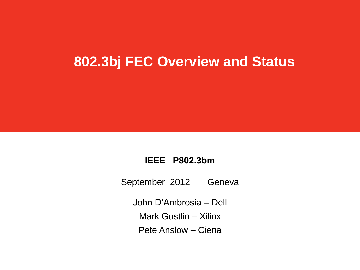#### **802.3bj FEC Overview and Status**

#### **IEEE P802.3bm**

September 2012 Geneva

John D'Ambrosia – Dell

Mark Gustlin – Xilinx

Pete Anslow – Ciena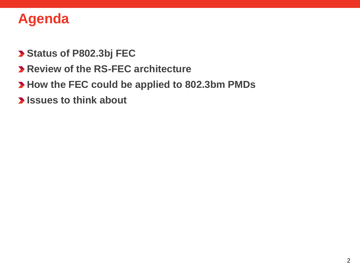#### **Agenda**

- **Status of P802.3bj FEC**
- **Review of the RS-FEC architecture**
- **How the FEC could be applied to 802.3bm PMDs**
- **Issues to think about**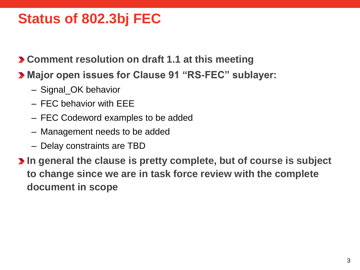#### **Status of 802.3bj FEC**

**Comment resolution on draft 1.1 at this meeting**

- **Major open issues for Clause 91 "RS-FEC" sublayer:**
	- Signal\_OK behavior
	- FEC behavior with EEE
	- FEC Codeword examples to be added
	- Management needs to be added
	- Delay constraints are TBD

**In general the clause is pretty complete, but of course is subject to change since we are in task force review with the complete document in scope**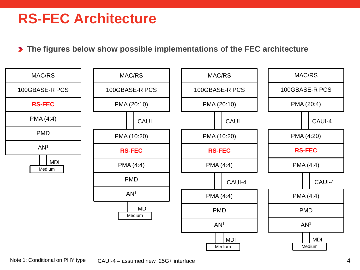#### **RS-FEC Architecture**

**The figures below show possible implementations of the FEC architecture**

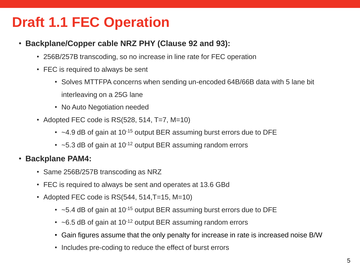### **Draft 1.1 FEC Operation**

- **Backplane/Copper cable NRZ PHY (Clause 92 and 93):**
	- 256B/257B transcoding, so no increase in line rate for FEC operation
	- FEC is required to always be sent
		- Solves MTTFPA concerns when sending un-encoded 64B/66B data with 5 lane bit interleaving on a 25G lane
		- No Auto Negotiation needed
	- Adopted FEC code is  $RS(528, 514, T=7, M=10)$ 
		- $\cdot$  ~4.9 dB of gain at 10<sup>-15</sup> output BER assuming burst errors due to DFE
		- $\cdot$  ~5.3 dB of gain at 10<sup>-12</sup> output BER assuming random errors

#### • **Backplane PAM4:**

- Same 256B/257B transcoding as NRZ
- FEC is required to always be sent and operates at 13.6 GBd
- Adopted FEC code is  $RS(544, 514, T=15, M=10)$ 
	- $\cdot$  ~5.4 dB of gain at 10<sup>-15</sup> output BER assuming burst errors due to DFE
	- $\cdot$  ~6.5 dB of gain at 10<sup>-12</sup> output BER assuming random errors
	- Gain figures assume that the only penalty for increase in rate is increased noise B/W
	- Includes pre-coding to reduce the effect of burst errors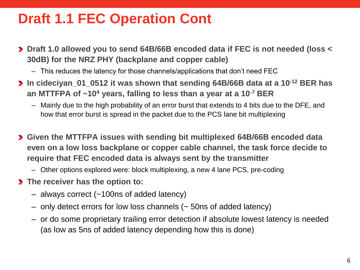### **Draft 1.1 FEC Operation Cont**

- **Draft 1.0 allowed you to send 64B/66B encoded data if FEC is not needed (loss < 30dB) for the NRZ PHY (backplane and copper cable)**
	- This reduces the latency for those channels/applications that don't need FEC
- **In cideciyan\_01\_0512 it was shown that sending 64B/66B data at a 10-12 BER has an MTTFPA of ~10<sup>4</sup> years, falling to less than a year at a 10-7 BER**
	- Mainly due to the high probability of an error burst that extends to 4 bits due to the DFE, and how that error burst is spread in the packet due to the PCS lane bit multiplexing
- **Given the MTTFPA issues with sending bit multiplexed 64B/66B encoded data even on a low loss backplane or copper cable channel, the task force decide to require that FEC encoded data is always sent by the transmitter**
	- Other options explored were: block multiplexing, a new 4 lane PCS, pre-coding
- **The receiver has the option to:**
	- always correct (~100ns of added latency)
	- only detect errors for low loss channels (~ 50ns of added latency)
	- or do some proprietary trailing error detection if absolute lowest latency is needed (as low as 5ns of added latency depending how this is done)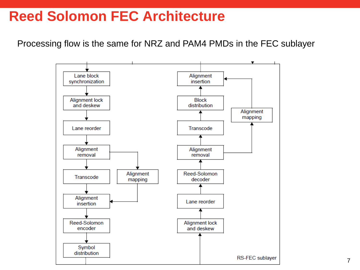#### **Reed Solomon FEC Architecture**

Processing flow is the same for NRZ and PAM4 PMDs in the FEC sublayer

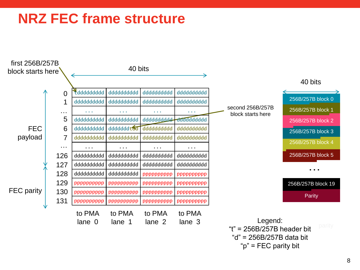#### **NRZ FEC frame structure**

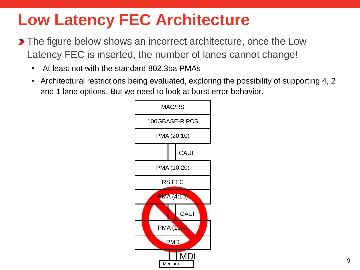# **Low Latency FEC Architecture**

- **The figure below shows an incorrect architecture, once the Low** Latency FEC is inserted, the number of lanes cannot change!
	- At least not with the standard 802.3ba PMAs
	- Architectural restrictions being evaluated, exploring the possibility of supporting 4, 2 and 1 lane options. But we need to look at burst error behavior.

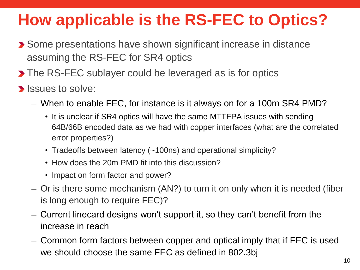# **How applicable is the RS-FEC to Optics?**

- **>** Some presentations have shown significant increase in distance assuming the RS-FEC for SR4 optics
- **The RS-FEC sublayer could be leveraged as is for optics**
- **Issues to solve:** 
	- When to enable FEC, for instance is it always on for a 100m SR4 PMD?
		- It is unclear if SR4 optics will have the same MTTFPA issues with sending 64B/66B encoded data as we had with copper interfaces (what are the correlated error properties?)
		- Tradeoffs between latency (~100ns) and operational simplicity?
		- How does the 20m PMD fit into this discussion?
		- Impact on form factor and power?
	- Or is there some mechanism (AN?) to turn it on only when it is needed (fiber is long enough to require FEC)?
	- Current linecard designs won't support it, so they can't benefit from the increase in reach
	- Common form factors between copper and optical imply that if FEC is used we should choose the same FEC as defined in 802.3bj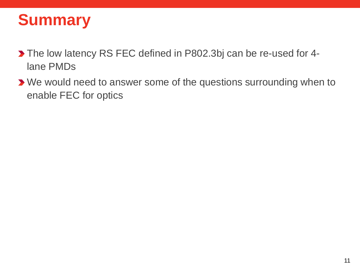## **Summary**

- The low latency RS FEC defined in P802.3bj can be re-used for 4 lane PMDs
- We would need to answer some of the questions surrounding when to enable FEC for optics